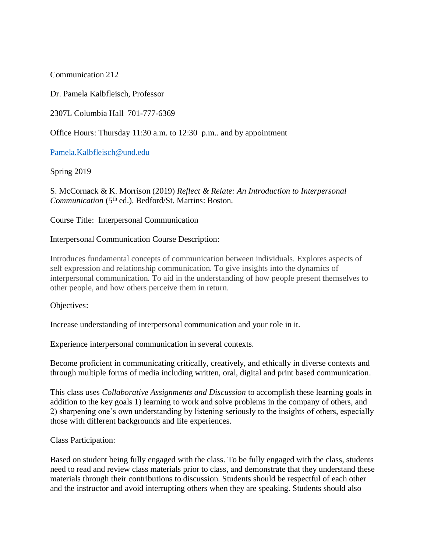Communication 212

Dr. Pamela Kalbfleisch, Professor

2307L Columbia Hall 701-777-6369

Office Hours: Thursday 11:30 a.m. to 12:30 p.m.. and by appointment

[Pamela.Kalbfleisch@und.edu](mailto:Pamela.Kalbfleisch@und.edu)

Spring 2019

S. McCornack & K. Morrison (2019) *Reflect & Relate: An Introduction to Interpersonal Communication* (5th ed.). Bedford/St. Martins: Boston.

Course Title: Interpersonal Communication

# Interpersonal Communication Course Description:

Introduces fundamental concepts of communication between individuals. Explores aspects of self expression and relationship communication. To give insights into the dynamics of interpersonal communication. To aid in the understanding of how people present themselves to other people, and how others perceive them in return.

Objectives:

Increase understanding of interpersonal communication and your role in it.

Experience interpersonal communication in several contexts.

Become proficient in communicating critically, creatively, and ethically in diverse contexts and through multiple forms of media including written, oral, digital and print based communication.

This class uses *Collaborative Assignments and Discussion* to accomplish these learning goals in addition to the key goals 1) learning to work and solve problems in the company of others, and 2) sharpening one's own understanding by listening seriously to the insights of others, especially those with different backgrounds and life experiences.

Class Participation:

Based on student being fully engaged with the class. To be fully engaged with the class, students need to read and review class materials prior to class, and demonstrate that they understand these materials through their contributions to discussion. Students should be respectful of each other and the instructor and avoid interrupting others when they are speaking. Students should also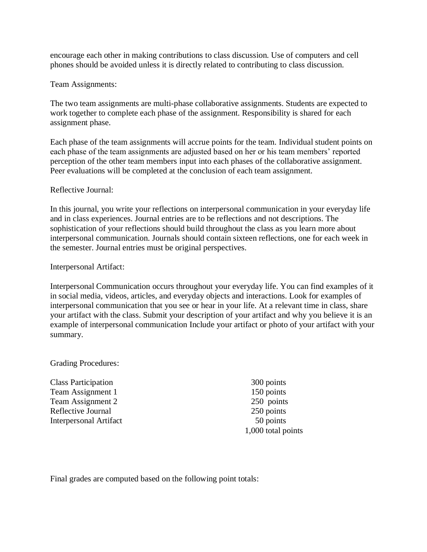encourage each other in making contributions to class discussion. Use of computers and cell phones should be avoided unless it is directly related to contributing to class discussion.

## Team Assignments:

The two team assignments are multi-phase collaborative assignments. Students are expected to work together to complete each phase of the assignment. Responsibility is shared for each assignment phase.

Each phase of the team assignments will accrue points for the team. Individual student points on each phase of the team assignments are adjusted based on her or his team members' reported perception of the other team members input into each phases of the collaborative assignment. Peer evaluations will be completed at the conclusion of each team assignment.

### Reflective Journal:

In this journal, you write your reflections on interpersonal communication in your everyday life and in class experiences. Journal entries are to be reflections and not descriptions. The sophistication of your reflections should build throughout the class as you learn more about interpersonal communication. Journals should contain sixteen reflections, one for each week in the semester. Journal entries must be original perspectives.

### Interpersonal Artifact:

Interpersonal Communication occurs throughout your everyday life. You can find examples of it in social media, videos, articles, and everyday objects and interactions. Look for examples of interpersonal communication that you see or hear in your life. At a relevant time in class, share your artifact with the class. Submit your description of your artifact and why you believe it is an example of interpersonal communication Include your artifact or photo of your artifact with your summary.

#### Grading Procedures:

Class Participation 300 points Team Assignment 1 150 points Team Assignment 2 250 points Reflective Journal 250 points Interpersonal Artifact 50 points

1,000 total points

Final grades are computed based on the following point totals: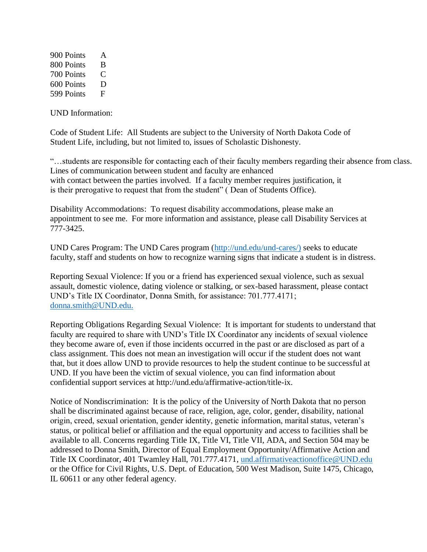900 Points A 800 Points B 700 Points C 600 Points D 599 Points F

UND Information:

Code of Student Life: All Students are subject to the University of North Dakota Code of Student Life, including, but not limited to, issues of Scholastic Dishonesty.

"…students are responsible for contacting each of their faculty members regarding their absence from class. Lines of communication between student and faculty are enhanced with contact between the parties involved. If a faculty member requires justification, it is their prerogative to request that from the student" ( Dean of Students Office).

Disability Accommodations: To request disability accommodations, please make an appointment to see me. For more information and assistance, please call Disability Services at 777-3425.

UND Cares Program: The UND Cares program [\(http://und.edu/und-cares/\)](http://und.edu/und-cares/)) seeks to educate faculty, staff and students on how to recognize warning signs that indicate a student is in distress.

Reporting Sexual Violence: If you or a friend has experienced sexual violence, such as sexual assault, domestic violence, dating violence or stalking, or sex-based harassment, please contact UND's Title IX Coordinator, Donna Smith, for assistance: 701.777.4171; [donna.smith@UND.edu.](mailto:donna.smith@UND.edu)

Reporting Obligations Regarding Sexual Violence: It is important for students to understand that faculty are required to share with UND's Title IX Coordinator any incidents of sexual violence they become aware of, even if those incidents occurred in the past or are disclosed as part of a class assignment. This does not mean an investigation will occur if the student does not want that, but it does allow UND to provide resources to help the student continue to be successful at UND. If you have been the victim of sexual violence, you can find information about confidential support services at http://und.edu/affirmative-action/title-ix.

Notice of Nondiscrimination: It is the policy of the University of North Dakota that no person shall be discriminated against because of race, religion, age, color, gender, disability, national origin, creed, sexual orientation, gender identity, genetic information, marital status, veteran's status, or political belief or affiliation and the equal opportunity and access to facilities shall be available to all. Concerns regarding Title IX, Title VI, Title VII, ADA, and Section 504 may be addressed to Donna Smith, Director of Equal Employment Opportunity/Affirmative Action and Title IX Coordinator, 401 Twamley Hall, 701.777.4171, [und.affirmativeactionoffice@UND.edu](mailto:und.affirmativeactionoffice@UND.edu) or the Office for Civil Rights, U.S. Dept. of Education, 500 West Madison, Suite 1475, Chicago, IL 60611 or any other federal agency.